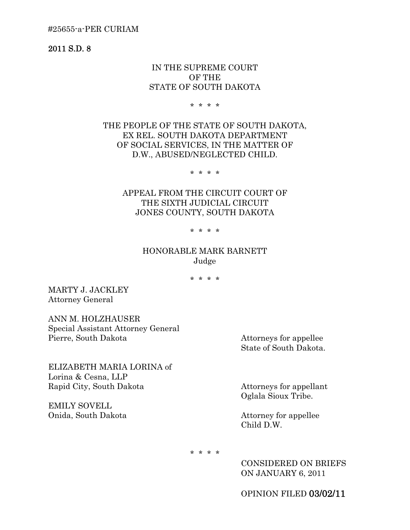#25655-a-PER CURIAM

2011 S.D. 8

## IN THE SUPREME COURT OF THE STATE OF SOUTH DAKOTA

\* \* \* \*

THE PEOPLE OF THE STATE OF SOUTH DAKOTA, EX REL. SOUTH DAKOTA DEPARTMENT OF SOCIAL SERVICES, IN THE MATTER OF D.W., ABUSED/NEGLECTED CHILD.

\* \* \* \*

APPEAL FROM THE CIRCUIT COURT OF THE SIXTH JUDICIAL CIRCUIT JONES COUNTY, SOUTH DAKOTA

\* \* \* \*

# HONORABLE MARK BARNETT Judge

\* \* \* \*

MARTY J. JACKLEY Attorney General

ANN M. HOLZHAUSER Special Assistant Attorney General Pierre, South Dakota Attorneys for appellee

State of South Dakota.

ELIZABETH MARIA LORINA of Lorina & Cesna, LLP Rapid City, South Dakota Attorneys for appellant

EMILY SOVELL Onida, South Dakota Attorney for appellee

Oglala Sioux Tribe.

Child D.W.

\* \* \* \*

CONSIDERED ON BRIEFS ON JANUARY 6, 2011

OPINION FILED 03/02/11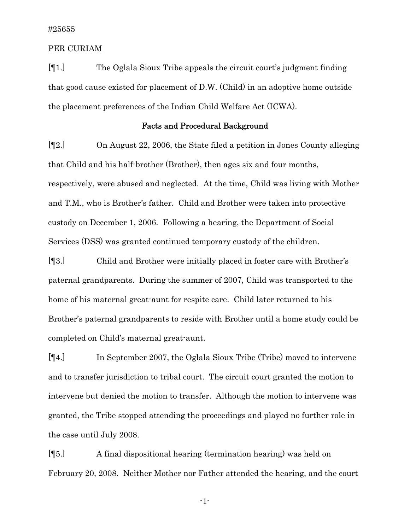### PER CURIAM

[¶1.] The Oglala Sioux Tribe appeals the circuit court's judgment finding that good cause existed for placement of D.W. (Child) in an adoptive home outside the placement preferences of the Indian Child Welfare Act (ICWA).

## Facts and Procedural Background

[¶2.] On August 22, 2006, the State filed a petition in Jones County alleging that Child and his half-brother (Brother), then ages six and four months, respectively, were abused and neglected. At the time, Child was living with Mother and T.M., who is Brother's father. Child and Brother were taken into protective custody on December 1, 2006. Following a hearing, the Department of Social Services (DSS) was granted continued temporary custody of the children.

[¶3.] Child and Brother were initially placed in foster care with Brother's paternal grandparents. During the summer of 2007, Child was transported to the home of his maternal great-aunt for respite care. Child later returned to his Brother's paternal grandparents to reside with Brother until a home study could be completed on Child's maternal great-aunt.

[¶4.] In September 2007, the Oglala Sioux Tribe (Tribe) moved to intervene and to transfer jurisdiction to tribal court. The circuit court granted the motion to intervene but denied the motion to transfer. Although the motion to intervene was granted, the Tribe stopped attending the proceedings and played no further role in the case until July 2008.

[¶5.] A final dispositional hearing (termination hearing) was held on February 20, 2008. Neither Mother nor Father attended the hearing, and the court

-1-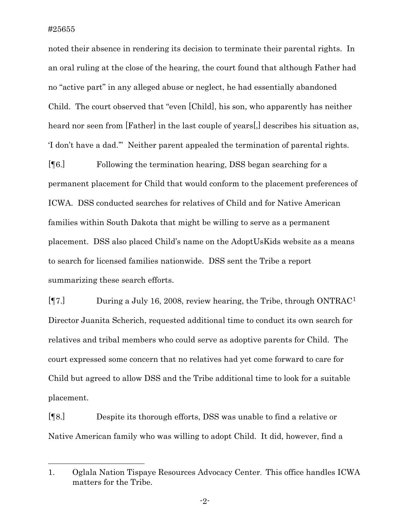l

noted their absence in rendering its decision to terminate their parental rights. In an oral ruling at the close of the hearing, the court found that although Father had no "active part" in any alleged abuse or neglect, he had essentially abandoned Child. The court observed that "even [Child], his son, who apparently has neither heard nor seen from [Father] in the last couple of years[,] describes his situation as, 'I don't have a dad.'" Neither parent appealed the termination of parental rights.

[¶6.] Following the termination hearing, DSS began searching for a permanent placement for Child that would conform to the placement preferences of ICWA. DSS conducted searches for relatives of Child and for Native American families within South Dakota that might be willing to serve as a permanent placement. DSS also placed Child's name on the AdoptUsKids website as a means to search for licensed families nationwide. DSS sent the Tribe a report summarizing these search efforts.

[¶7.] During a July 16, 2008, review hearing, the Tribe, through ONTRAC[1](#page-2-0) Director Juanita Scherich, requested additional time to conduct its own search for relatives and tribal members who could serve as adoptive parents for Child. The court expressed some concern that no relatives had yet come forward to care for Child but agreed to allow DSS and the Tribe additional time to look for a suitable placement.

[¶8.] Despite its thorough efforts, DSS was unable to find a relative or Native American family who was willing to adopt Child. It did, however, find a

<span id="page-2-0"></span><sup>1.</sup> Oglala Nation Tispaye Resources Advocacy Center. This office handles ICWA matters for the Tribe.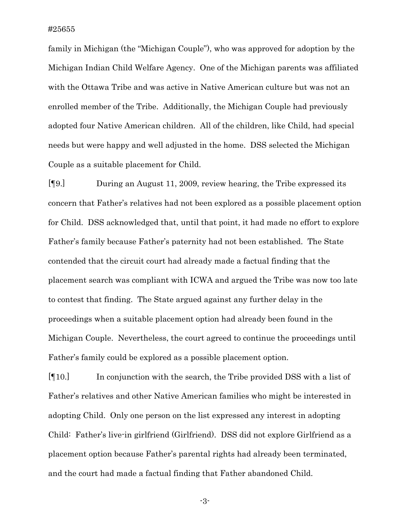family in Michigan (the "Michigan Couple"), who was approved for adoption by the Michigan Indian Child Welfare Agency. One of the Michigan parents was affiliated with the Ottawa Tribe and was active in Native American culture but was not an enrolled member of the Tribe. Additionally, the Michigan Couple had previously adopted four Native American children. All of the children, like Child, had special needs but were happy and well adjusted in the home. DSS selected the Michigan Couple as a suitable placement for Child.

[¶9.] During an August 11, 2009, review hearing, the Tribe expressed its concern that Father's relatives had not been explored as a possible placement option for Child. DSS acknowledged that, until that point, it had made no effort to explore Father's family because Father's paternity had not been established. The State contended that the circuit court had already made a factual finding that the placement search was compliant with ICWA and argued the Tribe was now too late to contest that finding. The State argued against any further delay in the proceedings when a suitable placement option had already been found in the Michigan Couple. Nevertheless, the court agreed to continue the proceedings until Father's family could be explored as a possible placement option.

[¶10.] In conjunction with the search, the Tribe provided DSS with a list of Father's relatives and other Native American families who might be interested in adopting Child. Only one person on the list expressed any interest in adopting Child: Father's live-in girlfriend (Girlfriend). DSS did not explore Girlfriend as a placement option because Father's parental rights had already been terminated, and the court had made a factual finding that Father abandoned Child.

-3-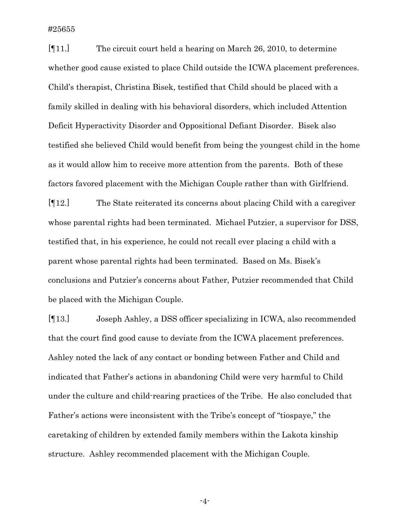[¶11.] The circuit court held a hearing on March 26, 2010, to determine whether good cause existed to place Child outside the ICWA placement preferences. Child's therapist, Christina Bisek, testified that Child should be placed with a family skilled in dealing with his behavioral disorders, which included Attention Deficit Hyperactivity Disorder and Oppositional Defiant Disorder. Bisek also testified she believed Child would benefit from being the youngest child in the home as it would allow him to receive more attention from the parents. Both of these factors favored placement with the Michigan Couple rather than with Girlfriend.

[¶12.] The State reiterated its concerns about placing Child with a caregiver whose parental rights had been terminated. Michael Putzier, a supervisor for DSS, testified that, in his experience, he could not recall ever placing a child with a parent whose parental rights had been terminated. Based on Ms. Bisek's conclusions and Putzier's concerns about Father, Putzier recommended that Child be placed with the Michigan Couple.

[¶13.] Joseph Ashley, a DSS officer specializing in ICWA, also recommended that the court find good cause to deviate from the ICWA placement preferences. Ashley noted the lack of any contact or bonding between Father and Child and indicated that Father's actions in abandoning Child were very harmful to Child under the culture and child-rearing practices of the Tribe. He also concluded that Father's actions were inconsistent with the Tribe's concept of "tiospaye," the caretaking of children by extended family members within the Lakota kinship structure. Ashley recommended placement with the Michigan Couple.

-4-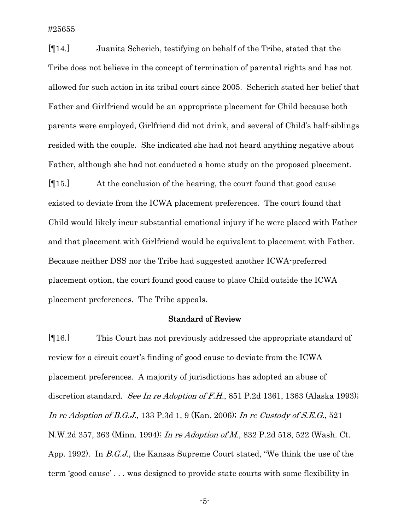[¶14.] Juanita Scherich, testifying on behalf of the Tribe, stated that the Tribe does not believe in the concept of termination of parental rights and has not allowed for such action in its tribal court since 2005. Scherich stated her belief that Father and Girlfriend would be an appropriate placement for Child because both parents were employed, Girlfriend did not drink, and several of Child's half-siblings resided with the couple. She indicated she had not heard anything negative about Father, although she had not conducted a home study on the proposed placement.

[¶15.] At the conclusion of the hearing, the court found that good cause existed to deviate from the ICWA placement preferences. The court found that Child would likely incur substantial emotional injury if he were placed with Father and that placement with Girlfriend would be equivalent to placement with Father. Because neither DSS nor the Tribe had suggested another ICWA-preferred placement option, the court found good cause to place Child outside the ICWA placement preferences. The Tribe appeals.

## Standard of Review

[¶16.] This Court has not previously addressed the appropriate standard of review for a circuit court's finding of good cause to deviate from the ICWA placement preferences. A majority of jurisdictions has adopted an abuse of discretion standard. See In re Adoption of F.H., 851 P.2d 1361, 1363 (Alaska 1993); In re Adoption of B.G.J., 133 P.3d 1, 9 (Kan. 2006); In re Custody of S.E.G., 521 N.W.2d 357, 363 (Minn. 1994); In re Adoption of M., 832 P.2d 518, 522 (Wash. Ct. App. 1992). In B.G.J., the Kansas Supreme Court stated, "We think the use of the term 'good cause' . . . was designed to provide state courts with some flexibility in

-5-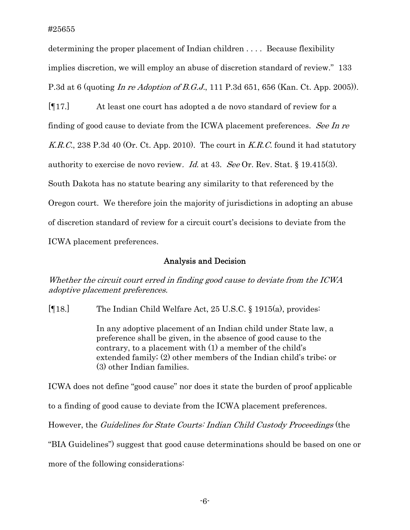determining the proper placement of Indian children . . . . Because flexibility implies discretion, we will employ an abuse of discretion standard of review." 133 P.3d at 6 (quoting In re Adoption of B.G.J., 111 P.3d 651, 656 (Kan. Ct. App. 2005)).

[¶17.] At least one court has adopted a de novo standard of review for a finding of good cause to deviate from the ICWA placement preferences. See In re K.R.C., 238 P.3d 40 (Or. Ct. App. 2010). The court in  $K.R.C.$  found it had statutory authority to exercise de novo review. *Id.* at 43. See Or. Rev. Stat. § 19.415(3). South Dakota has no statute bearing any similarity to that referenced by the Oregon court. We therefore join the majority of jurisdictions in adopting an abuse of discretion standard of review for a circuit court's decisions to deviate from the ICWA placement preferences.

### Analysis and Decision

Whether the circuit court erred in finding good cause to deviate from the ICWA adoptive placement preferences.

[¶18.] The Indian Child Welfare Act, 25 U.S.C. § 1915(a), provides:

In any adoptive placement of an Indian child under State law, a preference shall be given, in the absence of good cause to the contrary, to a placement with (1) a member of the child's extended family; (2) other members of the Indian child's tribe; or (3) other Indian families.

ICWA does not define "good cause" nor does it state the burden of proof applicable to a finding of good cause to deviate from the ICWA placement preferences. However, the Guidelines for State Courts: Indian Child Custody Proceedings (the "BIA Guidelines") suggest that good cause determinations should be based on one or more of the following considerations: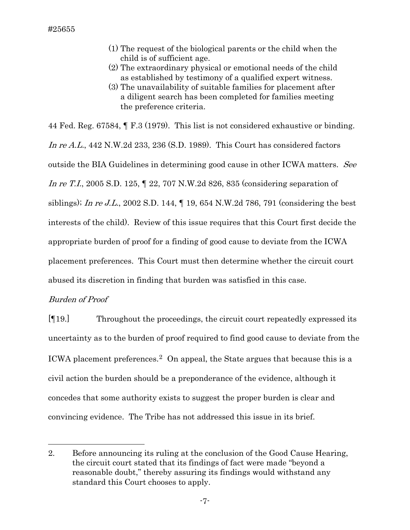- (1) The request of the biological parents or the child when the child is of sufficient age.
- (2) The extraordinary physical or emotional needs of the child as established by testimony of a qualified expert witness.
- (3) The unavailability of suitable families for placement after a diligent search has been completed for families meeting the preference criteria.

44 Fed. Reg. 67584, ¶ F.3 (1979). This list is not considered exhaustive or binding. In re A.L., 442 N.W.2d 233, 236 (S.D. 1989). This Court has considered factors outside the BIA Guidelines in determining good cause in other ICWA matters. See In re T.I., 2005 S.D. 125, ¶ 22, 707 N.W.2d 826, 835 (considering separation of siblings); In re J.L., 2002 S.D. 144,  $\P$  19, 654 N.W.2d 786, 791 (considering the best interests of the child). Review of this issue requires that this Court first decide the appropriate burden of proof for a finding of good cause to deviate from the ICWA placement preferences. This Court must then determine whether the circuit court abused its discretion in finding that burden was satisfied in this case.

# Burden of Proof

l

[¶19.] Throughout the proceedings, the circuit court repeatedly expressed its uncertainty as to the burden of proof required to find good cause to deviate from the ICWA placement preferences.<sup>[2](#page-7-0)</sup> On appeal, the State argues that because this is a civil action the burden should be a preponderance of the evidence, although it concedes that some authority exists to suggest the proper burden is clear and convincing evidence. The Tribe has not addressed this issue in its brief.

<span id="page-7-0"></span><sup>2.</sup> Before announcing its ruling at the conclusion of the Good Cause Hearing, the circuit court stated that its findings of fact were made "beyond a reasonable doubt," thereby assuring its findings would withstand any standard this Court chooses to apply.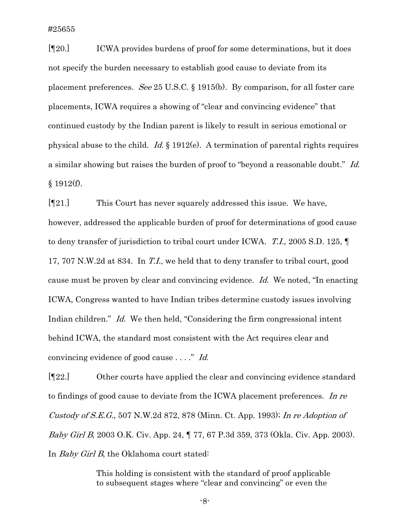[¶20.] ICWA provides burdens of proof for some determinations, but it does not specify the burden necessary to establish good cause to deviate from its placement preferences. See 25 U.S.C. § 1915(b). By comparison, for all foster care placements, ICWA requires a showing of "clear and convincing evidence" that continued custody by the Indian parent is likely to result in serious emotional or physical abuse to the child. Id.  $\S$  1912(e). A termination of parental rights requires a similar showing but raises the burden of proof to "beyond a reasonable doubt." Id.  $§ 1912(f).$ 

[¶21.] This Court has never squarely addressed this issue. We have, however, addressed the applicable burden of proof for determinations of good cause to deny transfer of jurisdiction to tribal court under ICWA. T.I., 2005 S.D. 125, ¶ 17, 707 N.W.2d at 834. In T.I., we held that to deny transfer to tribal court, good cause must be proven by clear and convincing evidence. Id. We noted, "In enacting ICWA, Congress wanted to have Indian tribes determine custody issues involving Indian children." Id. We then held, "Considering the firm congressional intent behind ICWA, the standard most consistent with the Act requires clear and convincing evidence of good cause . . . ." Id.

[¶22.] Other courts have applied the clear and convincing evidence standard to findings of good cause to deviate from the ICWA placement preferences. In re Custody of S.E.G., 507 N.W.2d 872, 878 (Minn. Ct. App. 1993); In re Adoption of Baby Girl B, 2003 O.K. Civ. App. 24, ¶ 77, 67 P.3d 359, 373 (Okla. Civ. App. 2003). In *Baby Girl B*, the Oklahoma court stated:

> This holding is consistent with the standard of proof applicable to subsequent stages where "clear and convincing" or even the

> > -8-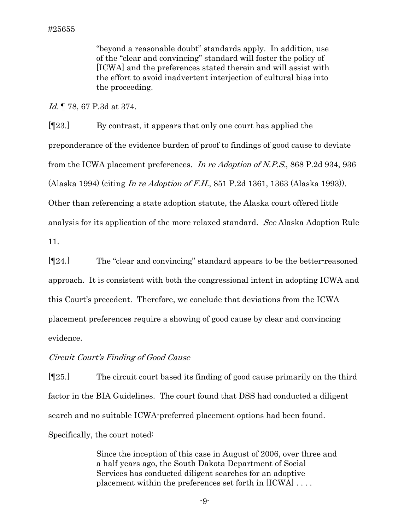"beyond a reasonable doubt" standards apply. In addition, use of the "clear and convincing" standard will foster the policy of [ICWA] and the preferences stated therein and will assist with the effort to avoid inadvertent interjection of cultural bias into the proceeding.

Id. ¶ 78, 67 P.3d at 374.

[¶23.] By contrast, it appears that only one court has applied the preponderance of the evidence burden of proof to findings of good cause to deviate from the ICWA placement preferences. In re Adoption of N.P.S., 868 P.2d 934, 936 (Alaska 1994) (citing In re Adoption of F.H., 851 P.2d 1361, 1363 (Alaska 1993)). Other than referencing a state adoption statute, the Alaska court offered little analysis for its application of the more relaxed standard. See Alaska Adoption Rule

11.

[¶24.] The "clear and convincing" standard appears to be the better-reasoned approach. It is consistent with both the congressional intent in adopting ICWA and this Court's precedent. Therefore, we conclude that deviations from the ICWA placement preferences require a showing of good cause by clear and convincing evidence.

# Circuit Court's Finding of Good Cause

[¶25.] The circuit court based its finding of good cause primarily on the third factor in the BIA Guidelines. The court found that DSS had conducted a diligent search and no suitable ICWA-preferred placement options had been found. Specifically, the court noted:

> Since the inception of this case in August of 2006, over three and a half years ago, the South Dakota Department of Social Services has conducted diligent searches for an adoptive placement within the preferences set forth in [ICWA] . . . .

> > -9-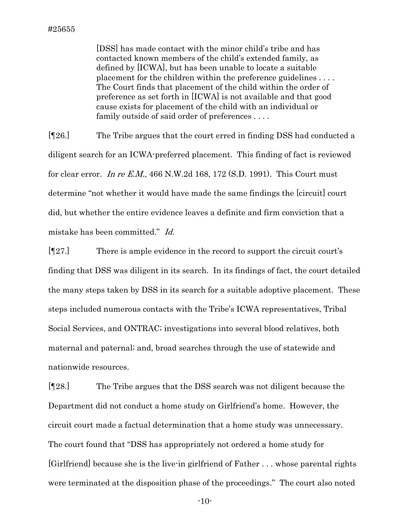[DSS] has made contact with the minor child's tribe and has contacted known members of the child's extended family, as defined by [ICWA], but has been unable to locate a suitable placement for the children within the preference guidelines . . . . The Court finds that placement of the child within the order of preference as set forth in [ICWA] is not available and that good cause exists for placement of the child with an individual or family outside of said order of preferences . . . .

[¶26.] The Tribe argues that the court erred in finding DSS had conducted a diligent search for an ICWA-preferred placement. This finding of fact is reviewed for clear error. In re  $EM$ , 466 N.W.2d 168, 172 (S.D. 1991). This Court must determine "not whether it would have made the same findings the [circuit] court did, but whether the entire evidence leaves a definite and firm conviction that a mistake has been committed." Id.

 $[\![\mathbb{T}27.]\!]$  There is ample evidence in the record to support the circuit court's finding that DSS was diligent in its search. In its findings of fact, the court detailed the many steps taken by DSS in its search for a suitable adoptive placement. These steps included numerous contacts with the Tribe's ICWA representatives, Tribal Social Services, and ONTRAC; investigations into several blood relatives, both maternal and paternal; and, broad searches through the use of statewide and nationwide resources.

[¶28.] The Tribe argues that the DSS search was not diligent because the Department did not conduct a home study on Girlfriend's home. However, the circuit court made a factual determination that a home study was unnecessary. The court found that "DSS has appropriately not ordered a home study for [Girlfriend] because she is the live-in girlfriend of Father . . . whose parental rights were terminated at the disposition phase of the proceedings." The court also noted

-10-